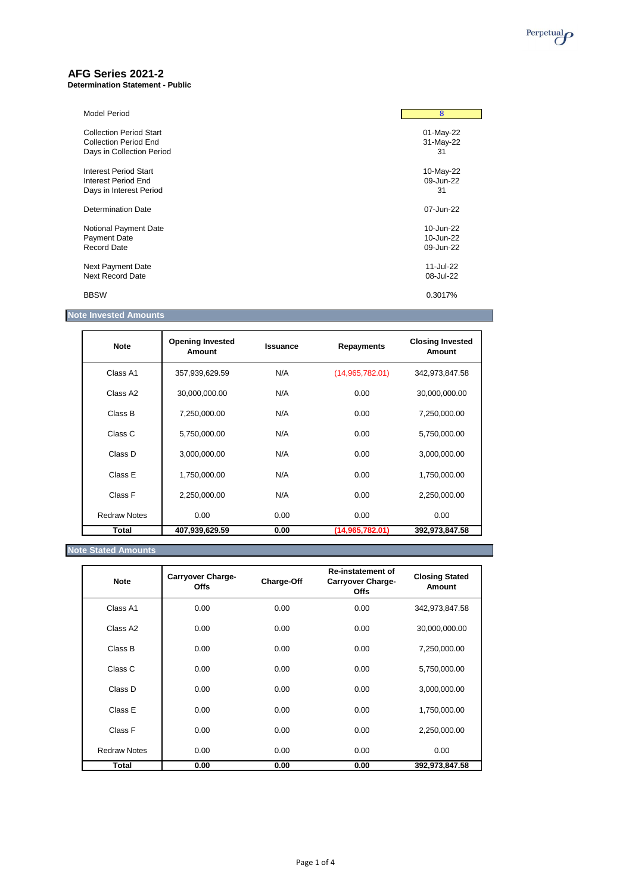

# **AFG Series 2021-2**

**Determination Statement - Public**

| <b>Model Period</b>            | 8         |
|--------------------------------|-----------|
| <b>Collection Period Start</b> | 01-May-22 |
| <b>Collection Period End</b>   | 31-May-22 |
| Days in Collection Period      | 31        |
| <b>Interest Period Start</b>   | 10-May-22 |
| Interest Period End            | 09-Jun-22 |
| Days in Interest Period        | 31        |
| <b>Determination Date</b>      | 07-Jun-22 |
| Notional Payment Date          | 10-Jun-22 |
| <b>Payment Date</b>            | 10-Jun-22 |
| <b>Record Date</b>             | 09-Jun-22 |
| Next Payment Date              | 11-Jul-22 |
| <b>Next Record Date</b>        | 08-Jul-22 |
| <b>BBSW</b>                    | 0.3017%   |

# **Note Invested Amounts**

| <b>Note</b>          | <b>Opening Invested</b><br><b>Amount</b> | <b>Issuance</b> | <b>Repayments</b> | <b>Closing Invested</b><br><b>Amount</b> |
|----------------------|------------------------------------------|-----------------|-------------------|------------------------------------------|
| Class A1             | 357,939,629.59                           | N/A             | (14,965,782.01)   | 342,973,847.58                           |
| Class A <sub>2</sub> | 30,000,000.00                            | N/A             | 0.00              | 30,000,000.00                            |
| Class B              | 7,250,000.00                             | N/A             | 0.00              | 7,250,000.00                             |
| Class C              | 5,750,000.00                             | N/A             | 0.00              | 5,750,000.00                             |
| Class D              | 3,000,000.00                             | N/A             | 0.00              | 3,000,000.00                             |
| Class E              | 1,750,000.00                             | N/A             | 0.00              | 1,750,000.00                             |
| Class F              | 2,250,000.00                             | N/A             | 0.00              | 2,250,000.00                             |
| <b>Redraw Notes</b>  | 0.00                                     | 0.00            | 0.00              | 0.00                                     |
| Total                | 407,939,629.59                           | 0.00            | (14, 965, 782.01) | 392,973,847.58                           |

# **Note Stated Amounts**

| <b>Note</b>          | <b>Carryover Charge-</b><br><b>Offs</b> | <b>Charge-Off</b> | <b>Re-instatement of</b><br><b>Carryover Charge-</b><br><b>Offs</b> | <b>Closing Stated</b><br>Amount |
|----------------------|-----------------------------------------|-------------------|---------------------------------------------------------------------|---------------------------------|
| Class A1             | 0.00                                    | 0.00              | 0.00                                                                | 342,973,847.58                  |
| Class A <sub>2</sub> | 0.00                                    | 0.00              | 0.00                                                                | 30,000,000.00                   |
| Class B              | 0.00                                    | 0.00              | 0.00                                                                | 7,250,000.00                    |
| Class C              | 0.00                                    | 0.00              | 0.00                                                                | 5,750,000.00                    |
| Class D              | 0.00                                    | 0.00              | 0.00                                                                | 3,000,000.00                    |

| Total               | 0.00 | 0.00 | 0.00 | 392,973,847.58 |
|---------------------|------|------|------|----------------|
| <b>Redraw Notes</b> | 0.00 | 0.00 | 0.00 | 0.00           |
| Class F             | 0.00 | 0.00 | 0.00 | 2,250,000.00   |
| Class E             | 0.00 | 0.00 | 0.00 | 1,750,000.00   |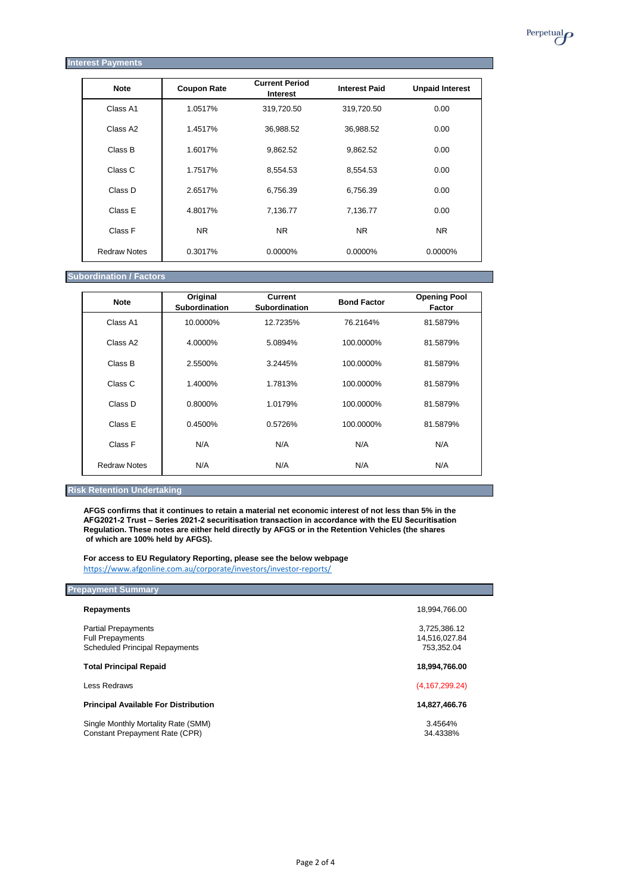| <b>Interest Payments</b> |                    |                                          |                      |                        |
|--------------------------|--------------------|------------------------------------------|----------------------|------------------------|
| <b>Note</b>              | <b>Coupon Rate</b> | <b>Current Period</b><br><b>Interest</b> | <b>Interest Paid</b> | <b>Unpaid Interest</b> |
| Class A1                 | 1.0517%            | 319,720.50                               | 319,720.50           | 0.00                   |
| Class A2                 | 1.4517%            | 36,988.52                                | 36,988.52            | 0.00                   |
| Class B                  | 1.6017%            | 9,862.52                                 | 9,862.52             | 0.00                   |
| Class C                  | 1.7517%            | 8,554.53                                 | 8,554.53             | 0.00                   |
| Class D                  | 2.6517%            | 6,756.39                                 | 6,756.39             | 0.00                   |
| Class E                  | 4.8017%            | 7,136.77                                 | 7,136.77             | 0.00                   |
| Class F                  | <b>NR</b>          | <b>NR</b>                                | <b>NR</b>            | <b>NR</b>              |
| <b>Redraw Notes</b>      | 0.3017%            | 0.0000%                                  | 0.0000%              | 0.0000%                |

#### **Subordination / Factors**

| <b>Note</b>          | Original<br><b>Subordination</b> | <b>Current</b><br><b>Subordination</b> | <b>Bond Factor</b> | <b>Opening Pool</b><br><b>Factor</b> |
|----------------------|----------------------------------|----------------------------------------|--------------------|--------------------------------------|
| Class A1             | 10.0000%                         | 12.7235%                               | 76.2164%           | 81.5879%                             |
| Class A <sub>2</sub> | 4.0000%                          | 5.0894%                                | 100.0000%          | 81.5879%                             |
| Class B              | 2.5500%                          | 3.2445%                                | 100.0000%          | 81.5879%                             |
| Class C              | 1.4000%                          | 1.7813%                                | 100.0000%          | 81.5879%                             |
| Class D              | 0.8000%                          | 1.0179%                                | 100.0000%          | 81.5879%                             |
| Class E              | 0.4500%                          | 0.5726%                                | 100.0000%          | 81.5879%                             |
| Class F              | N/A                              | N/A                                    | N/A                | N/A                                  |
| <b>Redraw Notes</b>  | N/A                              | N/A                                    | N/A                | N/A                                  |

## **Risk Retention Undertaking**

**AFGS confirms that it continues to retain a material net economic interest of not less than 5% in the AFG2021-2 Trust – Series 2021-2 securitisation transaction in accordance with the EU Securitisation Regulation. These notes are either held directly by AFGS or in the Retention Vehicles (the shares of which are 100% held by AFGS).**

**For access to EU Regulatory Reporting, please see the below webpage** <https://www.afgonline.com.au/corporate/investors/investor-reports/>

| <b>Prepayment Summary</b>                   |                  |
|---------------------------------------------|------------------|
| <b>Repayments</b>                           | 18,994,766.00    |
| <b>Partial Prepayments</b>                  | 3,725,386.12     |
| <b>Full Prepayments</b>                     | 14,516,027.84    |
| <b>Scheduled Principal Repayments</b>       | 753,352.04       |
| <b>Total Principal Repaid</b>               | 18,994,766.00    |
| Less Redraws                                | (4, 167, 299.24) |
| <b>Principal Available For Distribution</b> | 14,827,466.76    |

Single Monthly Mortality Rate (SMM) 3.4564% Constant Prepayment Rate (CPR)  $\overline{a}$  (CPR) 34.4338% Perpetual<sub>*O*</sub>

Page 2 of 4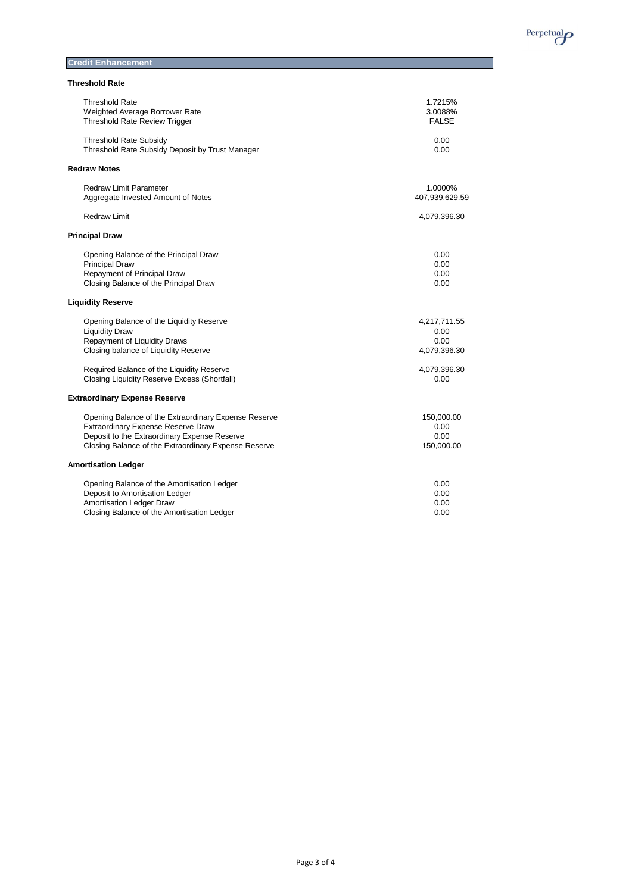

**Credit Enhancement** 

## **Threshold Rate**

| <b>Threshold Rate</b>                                | 1.7215%        |
|------------------------------------------------------|----------------|
| Weighted Average Borrower Rate                       | 3.0088%        |
| <b>Threshold Rate Review Trigger</b>                 | <b>FALSE</b>   |
| <b>Threshold Rate Subsidy</b>                        | 0.00           |
| Threshold Rate Subsidy Deposit by Trust Manager      | 0.00           |
| <b>Redraw Notes</b>                                  |                |
| <b>Redraw Limit Parameter</b>                        | 1.0000%        |
| Aggregate Invested Amount of Notes                   | 407,939,629.59 |
| <b>Redraw Limit</b>                                  | 4,079,396.30   |
| <b>Principal Draw</b>                                |                |
| Opening Balance of the Principal Draw                | 0.00           |
| <b>Principal Draw</b>                                | 0.00           |
| Repayment of Principal Draw                          | 0.00           |
| Closing Balance of the Principal Draw                | 0.00           |
| <b>Liquidity Reserve</b>                             |                |
| Opening Balance of the Liquidity Reserve             | 4,217,711.55   |
| <b>Liquidity Draw</b>                                | 0.00           |
| <b>Repayment of Liquidity Draws</b>                  | 0.00           |
| Closing balance of Liquidity Reserve                 | 4,079,396.30   |
| Required Balance of the Liquidity Reserve            | 4,079,396.30   |
| <b>Closing Liquidity Reserve Excess (Shortfall)</b>  | 0.00           |
| <b>Extraordinary Expense Reserve</b>                 |                |
| Opening Balance of the Extraordinary Expense Reserve | 150,000.00     |
| Extraordinary Expense Reserve Draw                   | 0.00           |
| Deposit to the Extraordinary Expense Reserve         | 0.00           |
| Closing Balance of the Extraordinary Expense Reserve | 150,000.00     |
| <b>Amortisation Ledger</b>                           |                |
| Opening Balance of the Amortisation Ledger           | 0.00           |
| Deposit to Amortisation Ledger                       | 0.00           |
| <b>Amortisation Ledger Draw</b>                      | 0.00           |
| Closing Balance of the Amortisation Ledger           | 0.00           |

Page 3 of 4